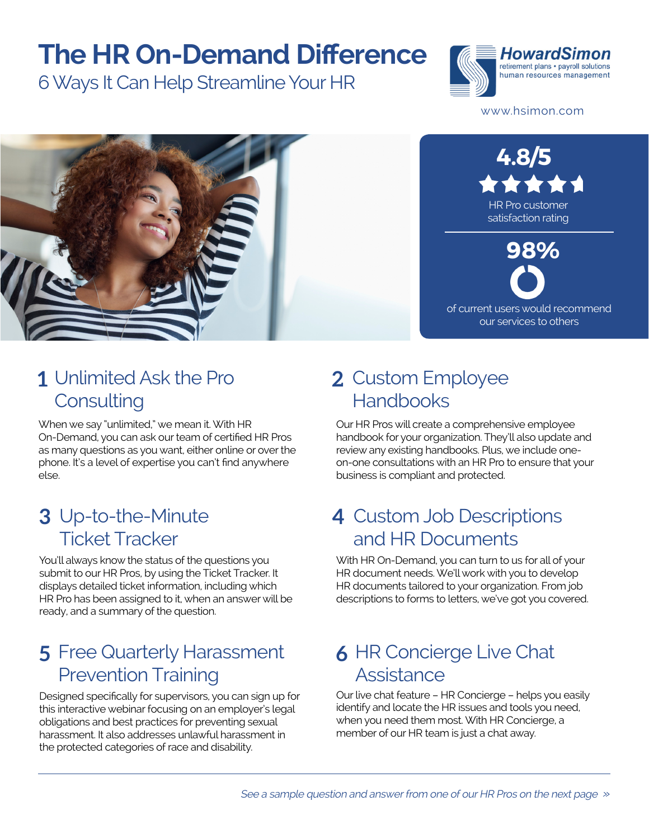## **The HR On-Demand Difference**

6 Ways It Can Help Streamline Your HR



www.hsimon.com



#### Unlimited Ask the Pro **1 2 Consulting**

When we say "unlimited," we mean it. With HR On-Demand, you can ask our team of certified HR Pros as many questions as you want, either online or over the phone. It's a level of expertise you can't find anywhere else.

#### Up-to-the-Minute **3 4** Ticket Tracker

You'll always know the status of the questions you submit to our HR Pros, by using the Ticket Tracker. It displays detailed ticket information, including which HR Pro has been assigned to it, when an answer will be ready, and a summary of the question.

#### Free Quarterly Harassment **5 6** Prevention Training

Designed specifically for supervisors, you can sign up for this interactive webinar focusing on an employer's legal obligations and best practices for preventing sexual harassment. It also addresses unlawful harassment in the protected categories of race and disability.

#### 2 Custom Employee Handbooks

Our HR Pros will create a comprehensive employee handbook for your organization. They'll also update and review any existing handbooks. Plus, we include oneon-one consultations with an HR Pro to ensure that your business is compliant and protected.

#### 4 Custom Job Descriptions and HR Documents

With HR On-Demand, you can turn to us for all of your HR document needs. We'll work with you to develop HR documents tailored to your organization. From job descriptions to forms to letters, we've got you covered.

#### **6 HR Concierge Live Chat Assistance**

Our live chat feature – HR Concierge – helps you easily identify and locate the HR issues and tools you need, when you need them most. With HR Concierge, a member of our HR team is just a chat away.